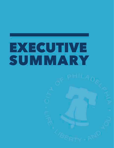

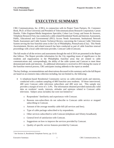# **EXECUTIVE SUMMARY**

CBG Communications, Inc. (CBG), in conjunction with its Project Team Partners, Dr. Constance Book, Ph.D. of Elon University and President of Telecommunications Research Corporation; Carson Hamlin, Video Engineer/Media Integrations Specialist; Cohen Law Group; and Issues & Answers, Telephone Research Firm, has conducted a cable-related Residential Needs and Interests Assessment, Public, Educational and Governmental (PEG) Access Needs Assessment, Institutional Network Needs Assessment and Cable System Technical Review concerning the Comcast Cable Television System serving the four franchise areas in the City of Philadelphia, Pennsylvania (City). This Needs Ascertainment, Review and related research has been conducted as part of cable franchise renewal proceedings with a local cable television provider, Comcast Cable (Comcast).

The full results of all the reviews and assessments through the end of 2014 are presented in the Report that follows. The Report provides information for the City regarding issues of significance to the residents and organizations in the Philadelphia franchise areas that are related to cable communications and, correspondingly, the ability of the cable system and Comcast to meet these demonstrated needs and interests. As additional information is received in 2015 during the course of the franchise renewal process, CBG anticipates issuing addenda to the report as needed.

The key findings, recommendations and observations discussed in this summary and in the full Report are based on an extensive data collection including, but not limited to, the following:

- A telephone-based Residential Community survey on cable-related needs and interests, conducted with a random sampling of 800 franchise area residents. Of those interviewed, 400 were Comcast cable television subscribers and 400 were not. This sample size provides a margin of error of  $\pm 3.4\%$ . The information obtained provided statistically valid data on residents' needs, interests, attitudes and opinions related to Comcast cable television. Subject areas included, but were not limited to: $<sup>1</sup>$ </sup>
	- o Respondents' familiarity and experiences with Comcast.
	- o Reasons non-subscribers do not subscribe to Comcast cable service or stopped subscribing to Comcast.
	- o Amount of the average monthly cable bill (all services and fees).
	- o Type of cable package subscribed to by respondents.
	- o Other services subscribed to with Comcast (telephone and Xfinity broadband).
	- o General level of satisfaction with Comcast.
	- o Suggestions on how to improve the services provided by Comcast.
	- o Quality of specific service features provided by Comcast.

 $\overline{a}$ <sup>1</sup> See Section A, Residential Telephone Survey, pp. 12-13.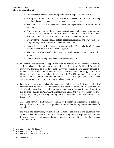- o List of specific channels with poor picture quality or poor audio quality.
- o Ratings of communication and installation experiences with Comcast, including telephone-based customer service provided by the company.
- o The number of cable outages and subscriber experiences with restoration of services.
- o Awareness and opinions of government, education and public access programming currently offered and future interest in local programming. Non-subscribers were also asked about their interest in receiving local access programming.
- o Quality of the picture and sound of local access programming and evaluation of the programming's informational and entertainment value.
- o Interest in receiving local access programming in HD and via the On Demand feature of the Comcast cable television system.
- o The presence of broadband in the home in Philadelphia and current levels of online activity.
- o Interest in interactive government services from the City.
- In a further effort to extend the opportunity to all residents to provide feedback concerning cable television needs and interests, an online version of the Residential Community Survey was launched after the telephone study was completed. This survey covered the same topics as the telephone survey. It was also made available in hard copy form in local libraries and at locations throughout the City for its KEYSPOT community Internet access initiative. Three thousand, two hundred eleven (3,211) Philadelphia residents responded to the online survey to share their cable television experience.<sup>2</sup>
- Focused discussions and update discussions with Public Access Staff and the Board of Directors from PhillyCAM, the independent non-profit providing Public Access services to Philadelphia residents, as well as extensive document review and focused discussions, and an online survey of PhillyCAM members who utilize the video production facilities and equipment and provide programming for distribution over PhillyCAM's Public Access Channels. $3$

The online survey of PhillyCAM producers, programmers and facility users obtained a variety of information from 100 respondents about both current operations and needs for the future. $4$ 

Site visits and observation, evaluation and analysis of the facilities and equipment were also made by CBG and its Team Partners of the existing PhillyCAM production facility on Ranstead Street to review age, condition, use and functionality of the existing facilities and equipment provided.

 $\overline{a}$ 

<sup>2</sup> See Section A, p. 43 and Exhibit A.2.

<sup>3</sup> See Section B, p. 77, and Exhibit B.1

<sup>4</sup> See Section B, p. 77, and Exhibits B.2 and B.3.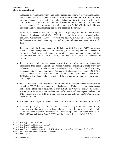• A focused discussion, interviews, and update discussions with City Governmental Access management and staff, as well as extensive document review and an online survey of government agency representatives and others that are familiar with, or who work with, the City's Cable TV Unit in the development of programming for the City's Governmental Access channels.<sup>5</sup> The online survey, similar to that for PhillyCAM, obtained additional information about both current operations and needs for the future.<sup>6</sup>

Similar to the needs assessment tasks regarding PhillyCAM, CBG and its Team Partners also made site visits to multiple Cable TV Unit production locations to review and evaluate the City's Governmental Access operation and review, evaluate and analyze existing facilities and equipment concerning age, condition, use and functionality and needs for the future.

- Interviews with the School District of Philadelphia (SDP) and its PSTV Educational Access Channel management and staff concerning SDP's existing operation and needs for the future.<sup>7</sup> Again, a site visit was made to review, evaluate and analyze age, condition, use and functionality of the existing facility, equipment and channel, and related needs for the future.
- Interviews with production and management staff for each of the four higher educational institutions that operate Educational Access Channels, including Temple University Television (TUTV), La Salle University Television (La Salle TV), Drexel University Television (DUTV) and Community College of Philadelphia Television (CCPTV) to assess channel capacity and utilization, and program content development and distribution. CBG also reviewed and analyzed a variety of documentation provided by the universities and college.
- Focused discussions and interviews with a variety of government agency representatives as well as OIT (Office of Innovation and Technology) officials and communications and networking staff related to development of an Institutional Network (I-Net).<sup>8</sup> This included a work group discussion with City department Information Technology personnel and other City officials who provided their experiences and visions as to how the City's networking needs will evolve.
- A review of Cable System Technical and Operational information provided by Comcast.<sup>9</sup>
- A system plant (physical infrastructure) inspection using a random sample of City addresses, as well as a review of the headends and hubs in order to review compliance with Cable Franchise technical provisions, including compliance with codes such as the National Electrical Safety Code (NESC) and the National Electrical Code(NEC).

 $\overline{a}$ 

<sup>5</sup> See Section B., p. 93 and Exhibit B.6.

<sup>6</sup> See Section B., p. 94, and Exhibits B.7 and B.8.

<sup>&</sup>lt;sup>7</sup> See Section B, p. 104 and Exhibit B.10.

<sup>8</sup> See Section C, p. 124. An Institutional Network (I-Net) is a separate part of the cable system developed for communications network uses by government institutions.

<sup>&</sup>lt;sup>9</sup> See Section D., p. 152.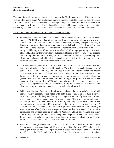The analysis of all the information obtained through the Needs Assessment and Review process enabled CBG and its Team Partners to focus on many elements related to a renewed cable franchise. From this analysis, CBG developed detailed Findings, along with Conclusions and Recommendations incorporated in the Report. The Key Findings, Conclusions and Recommendations for consideration by the City as it continues through the franchise renewal negotiation process are the following:

### Residential Community Needs Assessment – Telephone Survey

- Philadelphia's cable television subscribers reported levels of satisfaction one to eleven percent (1%-11%) lower than other Comcast franchise areas in selected markets where studies were completed in the last six years. Specifically, seventy-four percent (74%) of Comcast cable subscribers are satisfied overall with their cable service, leaving 26% that indicated they are dissatisfied. Those that rated cable service negatively indicated that the rating could be improved if rates were lowered (45%), if more programming choices were offered (12%) and if there were fewer outages and breaks in service (8%). This suggests that working to rein in the increasing cost for commercial cable services, developing more affordable packages, and addressing technical issues related to signal outages and other reception problems would help improve satisfaction levels.
- Thirty-six percent (36%) of non-Comcast cable television subscribers indicated that they had never subscribed to Comcast cable services. The primary reason cited was the cost of service (35%), followed by 21% who indicated they were satellite subscribers and another 15% who don't watch or don't have time to watch television. For those who once, but no longer, subscribe to Comcast, cost was also the primary reason for no longer subscribing (58%). This was followed by those who have billing issues/problems (7%), those who experienced service problems (5%) and those who experienced poor customer service (2%). This suggests that taking the same steps to improve subscriber satisfaction would also serve to attract those who have never or previously subscribed.
- While the majority of Comcast cable subscribers indicated they were satisfied overall with picture quality, problems were noted with both signal outages and picture clarity or reception. Specifically, lengthy cable signal outages for periods of greater than 24 hours were noted by 17% of subscribers. Nineteen percent (19%) of Comcast subscribers reported problems with picture clarity or reception, including 11% of those who indicated the problems were constant and 9% who indicated that they occurred every few days. A substantial number of those who had technical problems were also dissatisfied (36%) or were very dissatisfied (10%) with the response time to resolve the problem. Both technical difficulties and outages resulted in calls to Comcast, adding call volume and likely contributing to the problems with telephone response times described below. Improvements to technical operations to address the problems indicated would, again, improve subscriber satisfaction, as well as reduce call volume.
- Sixty-four percent (64%) called the Comcast Customer Service operation in the last year. The primary reason was related to billing questions (28%). Of these, 15% had received a busy signal when calling the company which is substantially greater than the 3% level specified by the FCC and Philadelphia's Franchise Customer Service Standards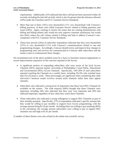requirements. Additionally, 61% indicated that their call had not been answered within 30 seconds, including the time left on hold, which is also far greater than the tolerance allowed (10%) under the Franchise and FCC Customer Service Standards.

- More than one in three  $(34\%)$  were dissatisfied  $(11\%$  very dissatisfied) with Comcast's billing practices, of those who called Customer Service related to billing questions and issues (28%). Again, working to resolve the issues that are creating dissatisfaction with billing and billing-related calls would not only improve customer satisfaction, but would also likely reduce the call volume related to billing and help to address Comcast's noncompliance with FCC Customer Service Standards.
- Thirty-four percent  $(34%)$  of subscriber respondents indicated that they were dissatisfied  $(23%)$  or very dissatisfied  $(11%)$  with Comcast's communications related to rate and programming changes. Accordingly, Comcast should review and improve how changes in programming rates and services are communicated to Comcast cable subscribers and the means it uses to communicate these changes.

We recommend each of the above problem areas be a focus in franchise renewal negotiations to secure improvements responsive to the concerns reported in the Survey.

- A significant portion of responding subscribers who were aware of the local Access Channels (68%) reported regular viewership of Philadelphia's local Public, Educational and Governmental (PEG) Access Channels. Specifically, 14%-20% of such subscribers reported watching the Channels on a weekly basis, including 3%-6% who watched more than five (5) hours a week. These percentages are significant when considering that cable television's business model revolves around niche channels rather than mass appeal channels.
- Subscribers also indicated a strong level of importance that these local PEG Channels be available on the system. The wide majority (84%) thought that these Channels were important, including 34% who indicated that they were very important and 26% that indicated important, regardless of how often they watch these Channels.
- Those subscribers also indicated a strong willingness to support PEG Channels as part of their monthly payment. Specifically, 37% of respondents indicated a specific amount that they would be willing to pay monthly to support local Access programming, with the average amount being \$3.16 per month. Including those not willing to pay anything (46%) in the calculation, the average amount subscribers were willing to pay to support PEG channels was still high at \$1.41 per month.

A number of these themes were also echoed in the online non-scientific survey.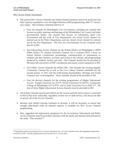#### PEG Access Needs Assessment

- The present PEG Access Channels and related channel positions need to be preserved and their capacity expanded to carry the High Definition (HD) programming cable TV viewers now expect. This includes continued delivery of:
	- o Four (4) channels for Philadelphia City Government, including one channel that focuses on public meetings and hearings of the Philadelphia City Council and other governmental bodies, one channel that focuses on information about City Government and the work of City departments, one closed circuit channel for internal use by the Police Department, and one closed circuit channel for internal use by the Fire Department. The first two Governmental Access Channels must also be in HD.
	- o One Educational Access Channel for the School District of Philadelphia's (SDP) Public School TV channel (currently Channel 52) to continue PSTV's focus on School Reform Commission proceedings, communication of information to students and their families, activities and events in the schools, and programming produced by students, faculty and staff. This Channel should also be provided in HD upon full conversion of SDP's production and master control equipment to HD.
	- o Five Public Access Channels for PhillyCAM. This includes the existing flagship Community Channel 66 as well as the Live Culture Channel scheduled for the second quarter of 2015 and the forthcoming Sustainability, Heritage and Youth Channels now in development. These channels should all be provided in HD.
	- o Four (4) discrete channels for the existing programmers of Higher Educational Access: Temple University for TUTV; Drexel University for DUTV; Community College of Philadelphia for CCPTV; and La Salle University for La Salle TV. All four of these Higher Educational Access channels must be provided in HD.
- All of these channels must be provided in an SD version until the entire system is converted to HD so that every subscriber, regardless of their tier of cable service, will always be able to receive all of the Access Channels.
- x Because time shifted viewing continues to increase, it will be necessary to ensure that enough cable-based video on demand capacity is available for PEG Access Channel programming.
- New, upgraded and replacement equipment for the Government, Educational and Public Access Channels must be provided consistent with the needs and interests demonstrated in the study. This includes: $10$

 $\overline{a}$ 

<sup>&</sup>lt;sup>10</sup> Equipment needs are projected over a 10 year timeframe; for a 15 year franchise term, the equipment projections increase by 50%. Facility projections do not increase for a 15 year term.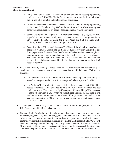- o PhillyCAM Public Access -- \$3,480,000 to facilitate Public Access programming produced in the PhillyCAM Media Center, as well as in the field through single camera and other portable and mobile remote operations.
- o City of Philadelphia Governmental Access -- \$3,057,480 to produce programming in the Council Chambers, City Hall studio facilities and in offsite meeting and conference room locations by both portable and mobile remote operations.
- o School District of Philadelphia K-12 Educational Access -- \$1,945,680 for new, upgraded and replacement equipment necessary to support video production at SDP's Central Facility (including the Board Room and SDP's Central Studio facilities) as well as in the schools throughout the District.
- o Regarding Higher Educational Access -- The Higher Educational Access Channels operated by Temple, Drexel and La Salle are funded by their Universities and through grants and donations from foundations and other funders. Accordingly, we have not projected specific capital equipment or facility needs for these channels. The Community College of Philadelphia is in a different situation, however, and may require capital equipment and facility funding for a production studio which it does not now have.
- PEG Access Facility funding -- Three specific needs were determined for facility space development and potential redevelopment concerning the Philadelphia PEG Access Channels:
	- o For Governmental Access -- \$840,000 is forecast to develop a larger studio space as well as new post production, office, storage and related space in City Hall.
	- o For PhillyCAM -- Two facility space related needs are evident. First, \$525,000 is needed to remodel 2100 square feet to develop a full Youth production and post production space. Then, there is a significant possibility that PhillyCAM may need to move its operation in 2021 when its current lease expires. At that time, it will need an estimated \$2,500,000 to make leasehold improvements in another leased space encompassing 10,000 square feet for current and new operations developed between now and 2021.
- Taken together, over a ten year period this equates to a total of  $$11,868,640$  needed for PEG Access capital facilities and equipment.
- Currently PhillyCAM relies significantly on operating support that comes from the cable franchises, augmented by member fees, grants and donations. Projections indicate that in order to both continue to maintain its current level of operations, as well as increase its content development and distribution consistent with the needs assessed, PhillyCAM will need to increase operational funding to an average annual amount of \$1,467,013 over the 10 year projected time frame. Consistent with the existing franchise, such funding should continue to be provided as an operating contribution from the cable service providers.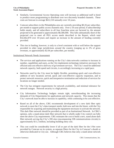- x Similarly, Governmental Access Operating costs will increase as additional staff is hired to produce more programming to distribute over two discreetly branded channels. These costs are forecast to average \$612,510 annually over 10-years.
- Comcast subscribers in the Philadelphia area are currently providing  $$0.26$  per subscriber, per month to support public access channels only. Over a 10-year period, if subscribership holds steady, and all subscribers in all four franchise areas are factored in, the amount projected to be generated is approximately \$8,580,000. This falls substantially short of the projected cost to meet all PEG access needs described in the Report, which total \$32,662,870 over 10-years and require an increase in the amount of funding currently provided.
- This rise in funding, however, is only to a level consistent with or well below the support provided in other large jurisdictions around the country (ranging up to 2% of gross revenues, or approximately \$2.04 per subscriber, per month).

# Institutional Network Needs Assessment

- The services and applications running on the City's data networks continue to increase in number, capabilities and users, as the City implements technology initiatives necessary for efficient and cost effective delivery of government services. The City's need for additional network capacity, both speed and circuits, is accordingly increasing at a rapid pace.
- Networks used by the City must be highly flexible, permitting quick and cost-effective addition of new locations served, quick and cost-effective capacity expansion, and to protect network resources, quick and inexpensive termination and reduction of services for locations no longer needed.
- The City has stringent requirements for network availability, and minimal tolerance for network outages. Network security is a high priority.
- City Information Technology budgets remain tight, notwithstanding the increasing demands of City Departments for applications and network capacity. This means that the City's network must be able to increase in capability, while continuing to be cost-effective.
- Based on all of the above, CBG recommends development of a new dark fiber optic network to meet the City's data transport needs, both now and into the future, with the City responsible for acquiring and maintaining the equipment necessary to activate the network. This dark fiber network should be provided as part of an Institutional Network. In CBG's opinion, only a stand-alone dark fiber network that is wholly under City control can fully meet the above City requirements. CBG estimates the cost to build a new, stand alone dark fiber network serving the City's 208 sites (encompassing 338 communications circuits) is approximately \$11.2 million, including building entry cost.
- This cost could be considerably lower if all or part of the dark fiber for the I-Net were provided by Comcast on its system, as separate fibers for the City in Comcast's sheath or otherwise dedicated to City use. Although CBG believes that only a stand-alone network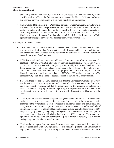that is fully controlled by the City can fully meet City needs, CBG believes the City should consider such an I-Net on the Comcast system, as long as the fiber is dedicated to City use and City use survives termination of a renewed franchise for any reason.

• CBG evaluated the alternative of a "managed network services" arrangement, under which a provider furnishes data transport service on its infrastructure, which is used for multiple customers and is wholly under the provider's control with respect to maintenance, network availability, security and flexibility in the addition or termination of locations. Given the City's stringent requirements described above and detailed in the Report, it is CBG's opinion that "managed services" will not meet the City's network needs.

## Cable System Technical Review

- CBG conducted a technical review of Comcast's cable system that included document review, system physical plant (infrastructure) audit, driveout and inspection, facility tours, and discussions with Comcast staff to determine the condition of Comcast's subscriber network in the four franchise areas.
- CBG inspected randomly selected addresses throughout the City to evaluate the compliance of Comcast's cable television system with the National Electrical Safety Code (NESC) and National Electrical Code (NEC) as required by the current franchise. CBG found substantial maintenance and code compliance failures. Based on the random sample and using standard statistical methods, CBG projects that as many as 256,750 addresses City-wide have a service drop that violates the NESC or NEC, and that as many as 13,738 addresses City-wide have a pole or pedestal with an NESC or NEC code violation.
- Based on these projections, CBG recommends that the City require Comcast to develop and implement an inspection program and correct all code violations in the short term, under the current Franchise, and that the requirement for this program be included in a renewal franchise. The program should require regular inspection of the infrastructure and timely repairs with accurate documentation provided by Comcast to the City on a regular basis.
- The City should perform a triennial system design and bandwidth review. As subscribers' desires and needs for cable services increase over time, and given the increased capacity demands on the system for non-cable services such as Internet access and commercial data transportation, the system's capacity may need to be increased. Possible methods of minimizing the impact of additional bandwidth needs include upgrading the system to 1000 megahertz (1 gigahertz), upgrading the system to Fiber-To-The-Premises (FTTP) architecture and deployment of Switched Digital Video (SDV technology These and other options should be reviewed and considered as part of franchise renewal, at a minimum during a required triennial technical review.
- The City should require Comcast to test the system on a regular basis, with documentation, to show compliance with FCC regulations. Tests should be performed at a minimum of eight (8) locations in the City. This testing should be required under a renewed franchise.